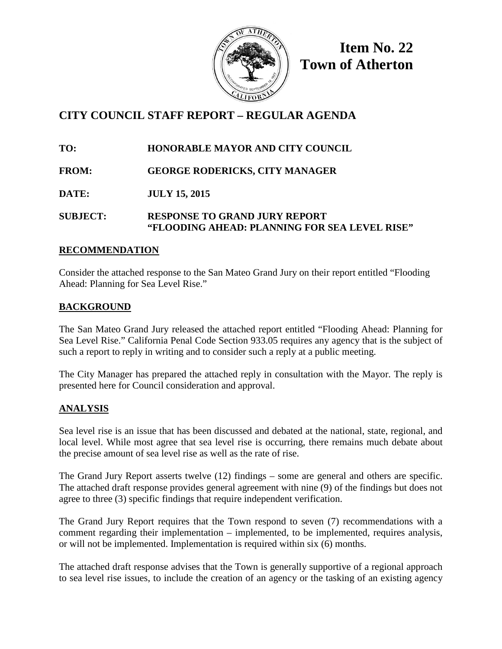

**Item No. 22 Town of Atherton**

# **CITY COUNCIL STAFF REPORT – REGULAR AGENDA**

**TO: HONORABLE MAYOR AND CITY COUNCIL**

**FROM: GEORGE RODERICKS, CITY MANAGER**

**DATE: JULY 15, 2015**

**SUBJECT: RESPONSE TO GRAND JURY REPORT "FLOODING AHEAD: PLANNING FOR SEA LEVEL RISE"**

# **RECOMMENDATION**

Consider the attached response to the San Mateo Grand Jury on their report entitled "Flooding Ahead: Planning for Sea Level Rise."

# **BACKGROUND**

The San Mateo Grand Jury released the attached report entitled "Flooding Ahead: Planning for Sea Level Rise." California Penal Code Section 933.05 requires any agency that is the subject of such a report to reply in writing and to consider such a reply at a public meeting.

The City Manager has prepared the attached reply in consultation with the Mayor. The reply is presented here for Council consideration and approval.

# **ANALYSIS**

Sea level rise is an issue that has been discussed and debated at the national, state, regional, and local level. While most agree that sea level rise is occurring, there remains much debate about the precise amount of sea level rise as well as the rate of rise.

The Grand Jury Report asserts twelve (12) findings – some are general and others are specific. The attached draft response provides general agreement with nine (9) of the findings but does not agree to three (3) specific findings that require independent verification.

The Grand Jury Report requires that the Town respond to seven (7) recommendations with a comment regarding their implementation – implemented, to be implemented, requires analysis, or will not be implemented. Implementation is required within six (6) months.

The attached draft response advises that the Town is generally supportive of a regional approach to sea level rise issues, to include the creation of an agency or the tasking of an existing agency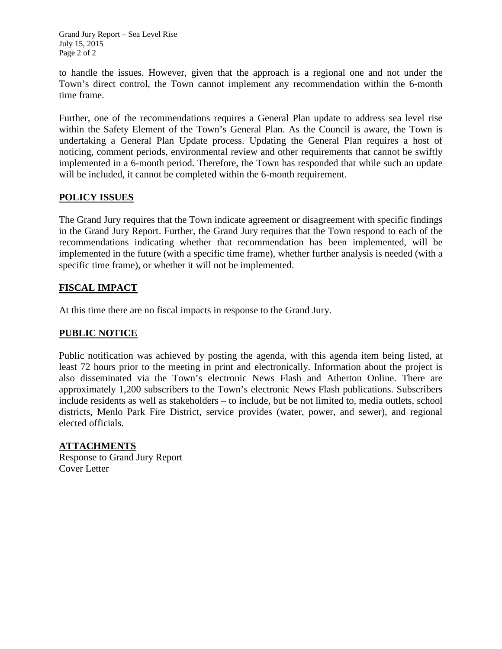Grand Jury Report – Sea Level Rise July 15, 2015 Page 2 of 2

to handle the issues. However, given that the approach is a regional one and not under the Town's direct control, the Town cannot implement any recommendation within the 6-month time frame.

Further, one of the recommendations requires a General Plan update to address sea level rise within the Safety Element of the Town's General Plan. As the Council is aware, the Town is undertaking a General Plan Update process. Updating the General Plan requires a host of noticing, comment periods, environmental review and other requirements that cannot be swiftly implemented in a 6-month period. Therefore, the Town has responded that while such an update will be included, it cannot be completed within the 6-month requirement.

# **POLICY ISSUES**

The Grand Jury requires that the Town indicate agreement or disagreement with specific findings in the Grand Jury Report. Further, the Grand Jury requires that the Town respond to each of the recommendations indicating whether that recommendation has been implemented, will be implemented in the future (with a specific time frame), whether further analysis is needed (with a specific time frame), or whether it will not be implemented.

# **FISCAL IMPACT**

At this time there are no fiscal impacts in response to the Grand Jury.

# **PUBLIC NOTICE**

Public notification was achieved by posting the agenda, with this agenda item being listed, at least 72 hours prior to the meeting in print and electronically. Information about the project is also disseminated via the Town's electronic News Flash and Atherton Online. There are approximately 1,200 subscribers to the Town's electronic News Flash publications. Subscribers include residents as well as stakeholders – to include, but be not limited to, media outlets, school districts, Menlo Park Fire District, service provides (water, power, and sewer), and regional elected officials.

# **ATTACHMENTS**

Response to Grand Jury Report Cover Letter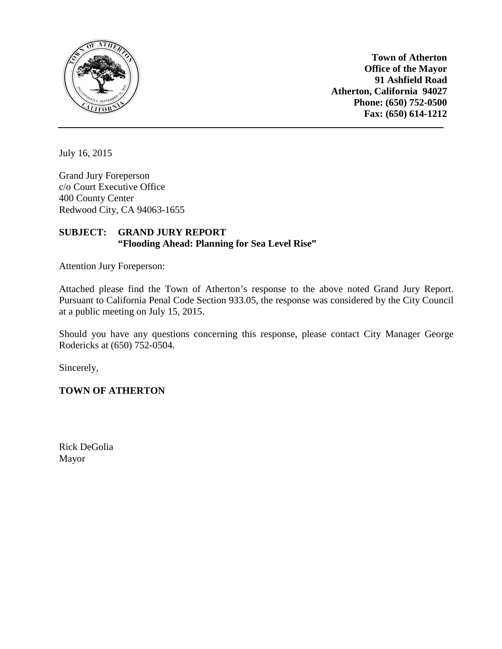

**Town of Atherton Office of the Mayor 91 Ashfield Road Atherton, California 94027 Phone: (650) 752-0500 Fax: (650) 614-1212**

July 16, 2015

Grand Jury Foreperson c/o Court Executive Office 400 County Center Redwood City, CA 94063-1655

#### **SUBJECT: GRAND JURY REPORT "Flooding Ahead: Planning for Sea Level Rise"**

Attention Jury Foreperson:

Attached please find the Town of Atherton's response to the above noted Grand Jury Report. Pursuant to California Penal Code Section 933.05, the response was considered by the City Council at a public meeting on July 15, 2015.

Should you have any questions concerning this response, please contact City Manager George Rodericks at (650) 752-0504.

Sincerely,

**TOWN OF ATHERTON**

Rick DeGolia Mayor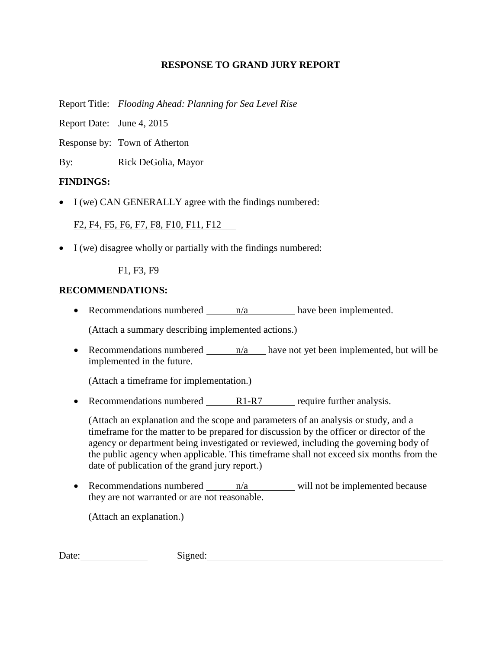## **RESPONSE TO GRAND JURY REPORT**

Report Title: *Flooding Ahead: Planning for Sea Level Rise*

Report Date: June 4, 2015

Response by: Town of Atherton

By: Rick DeGolia, Mayor

# **FINDINGS:**

• I (we) CAN GENERALLY agree with the findings numbered:

F2, F4, F5, F6, F7, F8, F10, F11, F12

• I (we) disagree wholly or partially with the findings numbered:

F1, F3, F9

# **RECOMMENDATIONS:**

• Recommendations numbered  $n/a$  have been implemented.

(Attach a summary describing implemented actions.)

• Recommendations numbered  $\frac{n}{a}$  have not yet been implemented, but will be implemented in the future.

(Attach a timeframe for implementation.)

• Recommendations numbered R1-R7 require further analysis.

(Attach an explanation and the scope and parameters of an analysis or study, and a timeframe for the matter to be prepared for discussion by the officer or director of the agency or department being investigated or reviewed, including the governing body of the public agency when applicable. This timeframe shall not exceed six months from the date of publication of the grand jury report.)

• Recommendations numbered  $n/a$  will not be implemented because they are not warranted or are not reasonable.

(Attach an explanation.)

Date: Signed: Signed: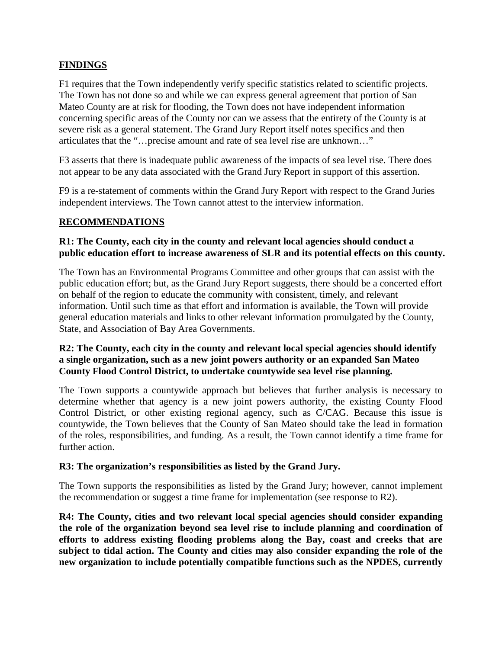# **FINDINGS**

F1 requires that the Town independently verify specific statistics related to scientific projects. The Town has not done so and while we can express general agreement that portion of San Mateo County are at risk for flooding, the Town does not have independent information concerning specific areas of the County nor can we assess that the entirety of the County is at severe risk as a general statement. The Grand Jury Report itself notes specifics and then articulates that the "…precise amount and rate of sea level rise are unknown…"

F3 asserts that there is inadequate public awareness of the impacts of sea level rise. There does not appear to be any data associated with the Grand Jury Report in support of this assertion.

F9 is a re-statement of comments within the Grand Jury Report with respect to the Grand Juries independent interviews. The Town cannot attest to the interview information.

# **RECOMMENDATIONS**

# **R1: The County, each city in the county and relevant local agencies should conduct a public education effort to increase awareness of SLR and its potential effects on this county.**

The Town has an Environmental Programs Committee and other groups that can assist with the public education effort; but, as the Grand Jury Report suggests, there should be a concerted effort on behalf of the region to educate the community with consistent, timely, and relevant information. Until such time as that effort and information is available, the Town will provide general education materials and links to other relevant information promulgated by the County, State, and Association of Bay Area Governments.

#### **R2: The County, each city in the county and relevant local special agencies should identify a single organization, such as a new joint powers authority or an expanded San Mateo County Flood Control District, to undertake countywide sea level rise planning.**

The Town supports a countywide approach but believes that further analysis is necessary to determine whether that agency is a new joint powers authority, the existing County Flood Control District, or other existing regional agency, such as C/CAG. Because this issue is countywide, the Town believes that the County of San Mateo should take the lead in formation of the roles, responsibilities, and funding. As a result, the Town cannot identify a time frame for further action.

# **R3: The organization's responsibilities as listed by the Grand Jury.**

The Town supports the responsibilities as listed by the Grand Jury; however, cannot implement the recommendation or suggest a time frame for implementation (see response to R2).

**R4: The County, cities and two relevant local special agencies should consider expanding the role of the organization beyond sea level rise to include planning and coordination of efforts to address existing flooding problems along the Bay, coast and creeks that are subject to tidal action. The County and cities may also consider expanding the role of the new organization to include potentially compatible functions such as the NPDES, currently**